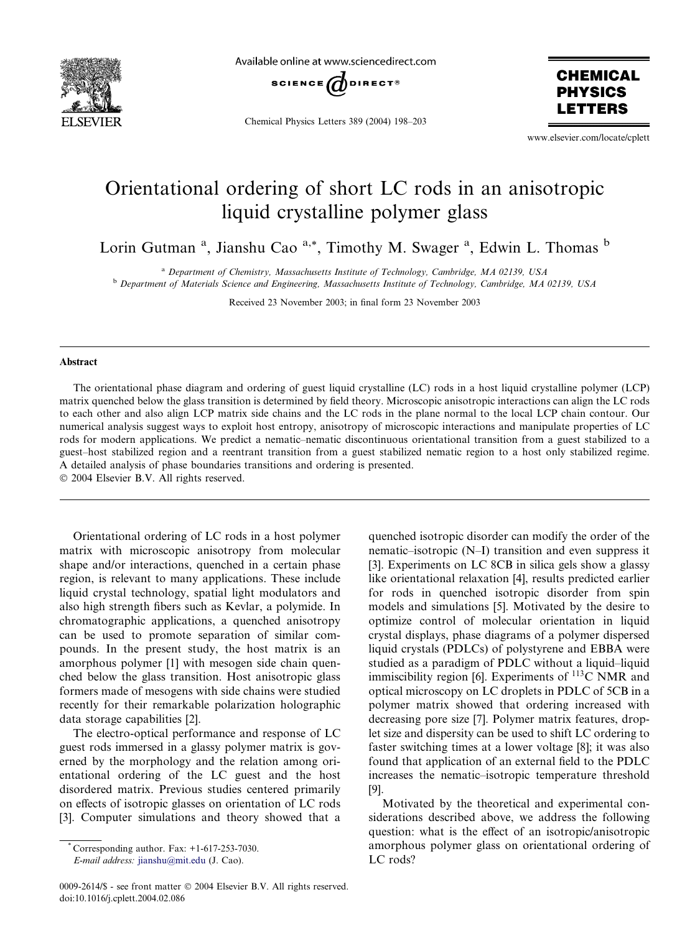

Available online at www.sciencedirect.com



Chemical Physics Letters 389 (2004) 198–203



www.elsevier.com/locate/cplett

## Orientational ordering of short LC rods in an anisotropic liquid crystalline polymer glass

Lorin Gutman<sup>a</sup>, Jianshu Cao<sup>a,\*</sup>, Timothy M. Swager<sup>a</sup>, Edwin L. Thomas<sup>b</sup>

<sup>a</sup> Department of Chemistry, Massachusetts Institute of Technology, Cambridge, MA 02139, USA <sup>b</sup> Department of Materials Science and Engineering, Massachusetts Institute of Technology, Cambridge, MA 02139, USA

Received 23 November 2003; in final form 23 November 2003

## Abstract

The orientational phase diagram and ordering of guest liquid crystalline (LC) rods in a host liquid crystalline polymer (LCP) matrix quenched below the glass transition is determined by field theory. Microscopic anisotropic interactions can align the LC rods to each other and also align LCP matrix side chains and the LC rods in the plane normal to the local LCP chain contour. Our numerical analysis suggest ways to exploit host entropy, anisotropy of microscopic interactions and manipulate properties of LC rods for modern applications. We predict a nematic–nematic discontinuous orientational transition from a guest stabilized to a guest–host stabilized region and a reentrant transition from a guest stabilized nematic region to a host only stabilized regime. A detailed analysis of phase boundaries transitions and ordering is presented.

2004 Elsevier B.V. All rights reserved.

Orientational ordering of LC rods in a host polymer matrix with microscopic anisotropy from molecular shape and/or interactions, quenched in a certain phase region, is relevant to many applications. These include liquid crystal technology, spatial light modulators and also high strength fibers such as Kevlar, a polymide. In chromatographic applications, a quenched anisotropy can be used to promote separation of similar compounds. In the present study, the host matrix is an amorphous polymer [1] with mesogen side chain quenched below the glass transition. Host anisotropic glass formers made of mesogens with side chains were studied recently for their remarkable polarization holographic data storage capabilities [2].

The electro-optical performance and response of LC guest rods immersed in a glassy polymer matrix is governed by the morphology and the relation among orientational ordering of the LC guest and the host disordered matrix. Previous studies centered primarily on effects of isotropic glasses on orientation of LC rods [3]. Computer simulations and theory showed that a

Corresponding author. Fax:  $+1-617-253-7030$ .

E-mail address: [jianshu@mit.edu](mail to: jianshu@mit.edu) (J. Cao).

0009-2614/\$ - see front matter © 2004 Elsevier B.V. All rights reserved. doi:10.1016/j.cplett.2004.02.086

quenched isotropic disorder can modify the order of the nematic–isotropic (N–I) transition and even suppress it [3]. Experiments on LC 8CB in silica gels show a glassy like orientational relaxation [4], results predicted earlier for rods in quenched isotropic disorder from spin models and simulations [5]. Motivated by the desire to optimize control of molecular orientation in liquid crystal displays, phase diagrams of a polymer dispersed liquid crystals (PDLCs) of polystyrene and EBBA were studied as a paradigm of PDLC without a liquid–liquid immiscibility region [6]. Experiments of  $^{113}$ C NMR and optical microscopy on LC droplets in PDLC of 5CB in a polymer matrix showed that ordering increased with decreasing pore size [7]. Polymer matrix features, droplet size and dispersity can be used to shift LC ordering to faster switching times at a lower voltage [8]; it was also found that application of an external field to the PDLC increases the nematic–isotropic temperature threshold [9].

Motivated by the theoretical and experimental considerations described above, we address the following question: what is the effect of an isotropic/anisotropic amorphous polymer glass on orientational ordering of LC rods?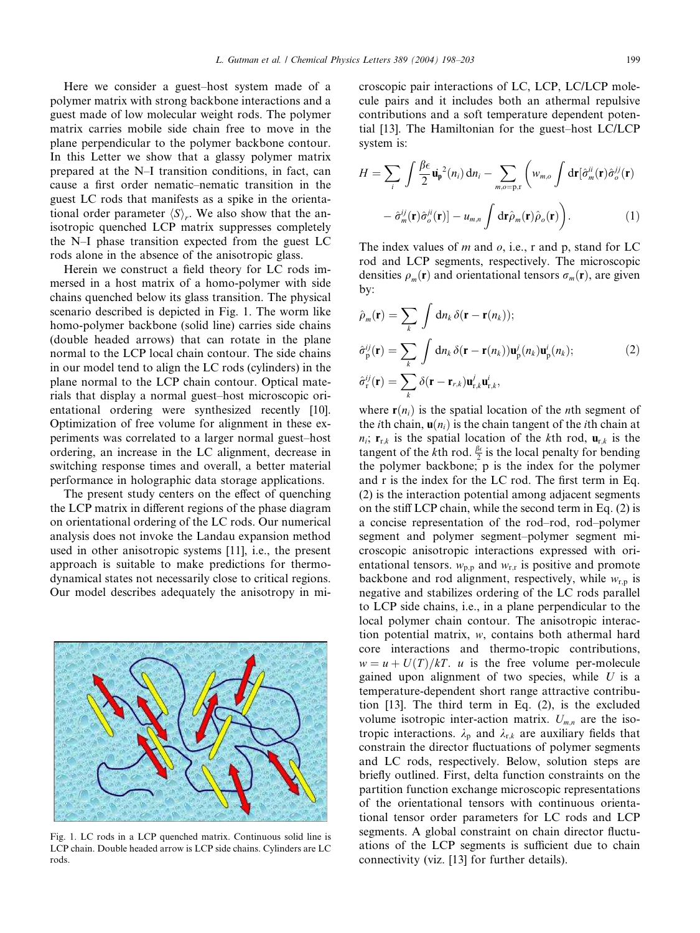Here we consider a guest–host system made of a polymer matrix with strong backbone interactions and a guest made of low molecular weight rods. The polymer matrix carries mobile side chain free to move in the plane perpendicular to the polymer backbone contour. In this Letter we show that a glassy polymer matrix prepared at the N–I transition conditions, in fact, can cause a first order nematic–nematic transition in the guest LC rods that manifests as a spike in the orientational order parameter  $\langle S \rangle$ . We also show that the anisotropic quenched LCP matrix suppresses completely the N–I phase transition expected from the guest LC rods alone in the absence of the anisotropic glass.

Herein we construct a field theory for LC rods immersed in a host matrix of a homo-polymer with side chains quenched below its glass transition. The physical scenario described is depicted in Fig. 1. The worm like homo-polymer backbone (solid line) carries side chains (double headed arrows) that can rotate in the plane normal to the LCP local chain contour. The side chains in our model tend to align the LC rods (cylinders) in the plane normal to the LCP chain contour. Optical materials that display a normal guest–host microscopic orientational ordering were synthesized recently [10]. Optimization of free volume for alignment in these experiments was correlated to a larger normal guest–host ordering, an increase in the LC alignment, decrease in switching response times and overall, a better material performance in holographic data storage applications.

The present study centers on the effect of quenching the LCP matrix in different regions of the phase diagram on orientational ordering of the LC rods. Our numerical analysis does not invoke the Landau expansion method used in other anisotropic systems [11], i.e., the present approach is suitable to make predictions for thermodynamical states not necessarily close to critical regions. Our model describes adequately the anisotropy in mi-



$$
H = \sum_{i} \int \frac{\beta \epsilon}{2} \dot{\mathbf{u}}_{\mathbf{p}}^{2}(n_{i}) d n_{i} - \sum_{m,o=p,r} \left( w_{m,o} \int d \mathbf{r} [\hat{\sigma}_{m}^{ii}(\mathbf{r}) \hat{\sigma}_{o}^{jj}(\mathbf{r}) - \hat{\sigma}_{m}^{ij}(\mathbf{r}) \hat{\sigma}_{o}^{ji}(\mathbf{r}) \right) - u_{m,n} \int d \mathbf{r} \hat{\rho}_{m}(\mathbf{r}) \hat{\rho}_{o}(\mathbf{r}) \bigg).
$$
 (1)

croscopic pair interactions of LC, LCP, LC/LCP molecule pairs and it includes both an athermal repulsive

The index values of  $m$  and  $o$ , i.e., r and p, stand for LC rod and LCP segments, respectively. The microscopic densities  $\rho_m(\mathbf{r})$  and orientational tensors  $\sigma_m(\mathbf{r})$ , are given by:

$$
\hat{\rho}_m(\mathbf{r}) = \sum_k \int d n_k \, \delta(\mathbf{r} - \mathbf{r}(n_k));
$$
\n
$$
\hat{\sigma}_p^{ij}(\mathbf{r}) = \sum_k \int d n_k \, \delta(\mathbf{r} - \mathbf{r}(n_k)) \mathbf{u}_p^i(n_k) \mathbf{u}_p^i(n_k);
$$
\n
$$
\hat{\sigma}_r^{ij}(\mathbf{r}) = \sum_k \delta(\mathbf{r} - \mathbf{r}_{r,k}) \mathbf{u}_{r,k}^i \mathbf{u}_{r,k}^i,
$$
\n(2)

where  $r(n_i)$  is the spatial location of the *n*th segment of the *i*th chain,  $\mathbf{u}(n_i)$  is the chain tangent of the *i*th chain at  $n_i$ ;  $\mathbf{r}_{r,k}$  is the spatial location of the kth rod,  $\mathbf{u}_{r,k}$  is the tangent of the *k*th rod.  $\frac{\beta \epsilon}{2}$  is the local penalty for bending the polymer backbone; p is the index for the polymer and r is the index for the LC rod. The first term in Eq. (2) is the interaction potential among adjacent segments on the stiff LCP chain, while the second term in Eq. (2) is a concise representation of the rod–rod, rod–polymer segment and polymer segment–polymer segment microscopic anisotropic interactions expressed with orientational tensors.  $w_{p,p}$  and  $w_{r,r}$  is positive and promote backbone and rod alignment, respectively, while  $w_{r,p}$  is negative and stabilizes ordering of the LC rods parallel to LCP side chains, i.e., in a plane perpendicular to the local polymer chain contour. The anisotropic interaction potential matrix, w, contains both athermal hard core interactions and thermo-tropic contributions,  $w = u + U(T)/kT$ . u is the free volume per-molecule gained upon alignment of two species, while  $U$  is a temperature-dependent short range attractive contribution [13]. The third term in Eq. (2), is the excluded volume isotropic inter-action matrix.  $U_{m,n}$  are the isotropic interactions.  $\lambda_p$  and  $\lambda_{r,k}$  are auxiliary fields that constrain the director fluctuations of polymer segments and LC rods, respectively. Below, solution steps are briefly outlined. First, delta function constraints on the partition function exchange microscopic representations of the orientational tensors with continuous orientational tensor order parameters for LC rods and LCP segments. A global constraint on chain director fluctuations of the LCP segments is sufficient due to chain connectivity (viz. [13] for further details).



Fig. 1. LC rods in a LCP quenched matrix. Continuous solid line is LCP chain. Double headed arrow is LCP side chains. Cylinders are LC rods.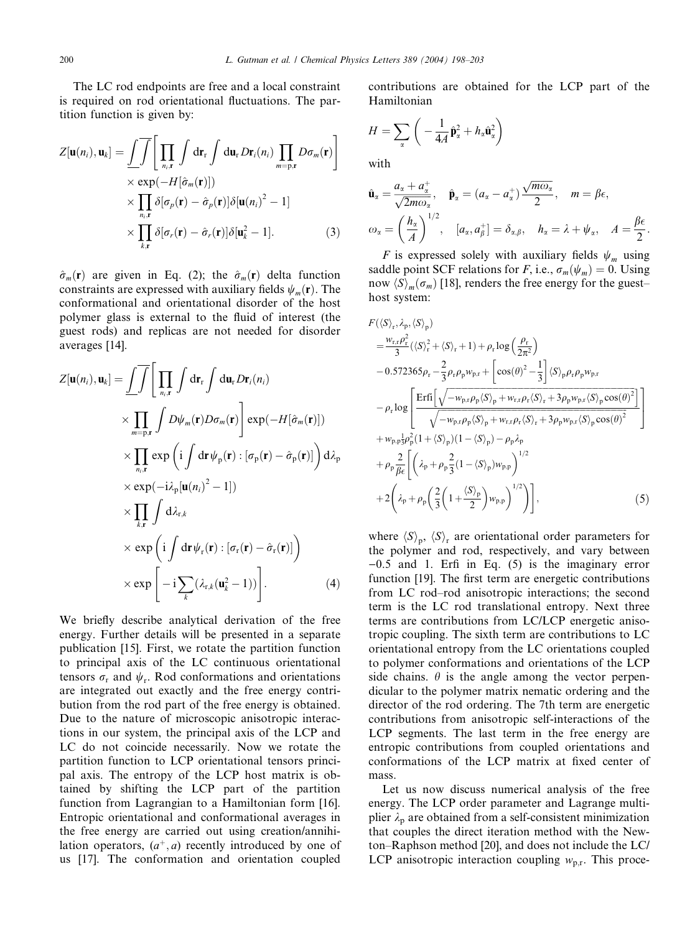The LC rod endpoints are free and a local constraint is required on rod orientational fluctuations. The partition function is given by:

$$
Z[\mathbf{u}(n_i), \mathbf{u}_k] = \underbrace{\int \int}_{\times} \underbrace{\prod}_{n_i, \mathbf{r}} \int \mathrm{d} \mathbf{r}_r \int \mathrm{d} \mathbf{u}_r D\mathbf{r}_i(n_i) \prod_{m=p, \mathbf{r}} D\sigma_m(\mathbf{r}) \bigg]}_{\times \underbrace{\text{exp}(-H[\hat{\sigma}_m(\mathbf{r})])}_{n_i, \mathbf{r}}} \times \underbrace{\prod_{n_i, \mathbf{r}} \delta[\sigma_p(\mathbf{r}) - \hat{\sigma}_p(\mathbf{r})] \delta[\mathbf{u}(n_i)^2 - 1]}_{\times \prod_{k, \mathbf{r}} \delta[\sigma_r(\mathbf{r}) - \hat{\sigma}_r(\mathbf{r})] \delta[\mathbf{u}_k^2 - 1].} \tag{3}
$$

 $\hat{\sigma}_m(\mathbf{r})$  are given in Eq. (2); the  $\hat{\sigma}_m(\mathbf{r})$  delta function constraints are expressed with auxiliary fields  $\psi_m(\mathbf{r})$ . The conformational and orientational disorder of the host polymer glass is external to the fluid of interest (the guest rods) and replicas are not needed for disorder averages [14].

$$
Z[\mathbf{u}(n_i), \mathbf{u}_k] = \underbrace{\int \int}_{m_i, \mathbf{r}} \left[ \prod_{n_i, \mathbf{r}} \int d\mathbf{r}_r \int d\mathbf{u}_r D\mathbf{r}_i(n_i) \right] \times \prod_{m = p, \mathbf{r}} \int D\psi_m(\mathbf{r}) D\sigma_m(\mathbf{r}) \right] \exp(-H[\hat{\sigma}_m(\mathbf{r})])
$$
  
\n
$$
\times \prod_{n_i, \mathbf{r}} \exp\left(i \int d\mathbf{r} \psi_p(\mathbf{r}) : [\sigma_p(\mathbf{r}) - \hat{\sigma}_p(\mathbf{r})]\right) d\lambda_p
$$
  
\n
$$
\times \exp(-i\lambda_p[\mathbf{u}(n_i)^2 - 1])
$$
  
\n
$$
\times \prod_{k, \mathbf{r}} \int d\lambda_{r,k}
$$
  
\n
$$
\times \exp\left(i \int d\mathbf{r} \psi_r(\mathbf{r}) : [\sigma_r(\mathbf{r}) - \hat{\sigma}_r(\mathbf{r})]\right)
$$
  
\n
$$
\times \exp\left[-i \sum_k (\lambda_{r,k}(\mathbf{u}_k^2 - 1))\right].
$$
 (4)

We briefly describe analytical derivation of the free energy. Further details will be presented in a separate publication [15]. First, we rotate the partition function to principal axis of the LC continuous orientational tensors  $\sigma_r$  and  $\psi_r$ . Rod conformations and orientations are integrated out exactly and the free energy contribution from the rod part of the free energy is obtained. Due to the nature of microscopic anisotropic interactions in our system, the principal axis of the LCP and LC do not coincide necessarily. Now we rotate the partition function to LCP orientational tensors principal axis. The entropy of the LCP host matrix is obtained by shifting the LCP part of the partition function from Lagrangian to a Hamiltonian form [16]. Entropic orientational and conformational averages in the free energy are carried out using creation/annihilation operators,  $(a^+, a)$  recently introduced by one of us [17]. The conformation and orientation coupled contributions are obtained for the LCP part of the Hamiltonian

$$
H = \sum_{\alpha} \left( -\frac{1}{4A} \hat{\mathbf{p}}_{\alpha}^{2} + h_{\alpha} \hat{\mathbf{u}}_{\alpha}^{2} \right)
$$

with

$$
\hat{\mathbf{u}}_{\alpha} = \frac{a_{\alpha} + a_{\alpha}^{+}}{\sqrt{2m\omega_{\alpha}}}, \quad \hat{\mathbf{p}}_{\alpha} = (a_{\alpha} - a_{\alpha}^{+})\frac{\sqrt{m\omega_{\alpha}}}{2}, \quad m = \beta\epsilon,
$$
  

$$
\omega_{\alpha} = \left(\frac{h_{\alpha}}{A}\right)^{1/2}, \quad [a_{\alpha}, a_{\beta}^{+}] = \delta_{\alpha,\beta}, \quad h_{\alpha} = \lambda + \psi_{\alpha}, \quad A = \frac{\beta\epsilon}{2}.
$$

F is expressed solely with auxiliary fields  $\psi_m$  using saddle point SCF relations for F, i.e.,  $\sigma_m(\psi_m) = 0$ . Using now  $\langle S \rangle_m(\sigma_m)$  [18], renders the free energy for the guest– host system:

$$
F(\langle S \rangle_r, \lambda_p, \langle S \rangle_p)
$$
\n
$$
= \frac{w_{r,r} \rho_r^2}{3} (\langle S \rangle_r^2 + \langle S \rangle_r + 1) + \rho_r \log \left( \frac{\rho_r}{2\pi^2} \right)
$$
\n
$$
- 0.572365 \rho_r - \frac{2}{3} \rho_r \rho_p w_{p,r} + \left[ \cos(\theta)^2 - \frac{1}{3} \right] \langle S \rangle_p \rho_r \rho_p w_{p,r}
$$
\n
$$
- \rho_r \log \left[ \frac{\text{Erfi} \left[ \sqrt{-w_{p,r} \rho_p \langle S \rangle_p + w_{r,r} \rho_r \langle S \rangle_r + 3 \rho_p w_{p,r} \langle S \rangle_p \cos(\theta)^2} \right]}{\sqrt{-w_{p,r} \rho_p \langle S \rangle_p + w_{r,r} \rho_r \langle S \rangle_r + 3 \rho_p w_{p,r} \langle S \rangle_p \cos(\theta)^2}} \right]
$$
\n
$$
+ w_{p,p} \frac{1}{3} \rho_p^2 (1 + \langle S \rangle_p) (1 - \langle S \rangle_p) - \rho_p \lambda_p
$$
\n
$$
+ \rho_p \frac{2}{\beta \epsilon} \left[ \left( \lambda_p + \rho_p \frac{2}{3} (1 - \langle S \rangle_p) w_{p,p} \right)^{1/2} \right]
$$
\n
$$
+ 2 \left( \lambda_p + \rho_p \left( \frac{2}{3} \left( 1 + \frac{\langle S \rangle_p}{2} \right) w_{p,p} \right)^{1/2} \right) \right], \tag{5}
$$

where  $\langle S \rangle_n$ ,  $\langle S \rangle_r$  are orientational order parameters for the polymer and rod, respectively, and vary between  $-0.5$  and 1. Erfi in Eq. (5) is the imaginary error function [19]. The first term are energetic contributions from LC rod–rod anisotropic interactions; the second term is the LC rod translational entropy. Next three terms are contributions from LC/LCP energetic anisotropic coupling. The sixth term are contributions to LC orientational entropy from the LC orientations coupled to polymer conformations and orientations of the LCP side chains.  $\theta$  is the angle among the vector perpendicular to the polymer matrix nematic ordering and the director of the rod ordering. The 7th term are energetic contributions from anisotropic self-interactions of the LCP segments. The last term in the free energy are entropic contributions from coupled orientations and conformations of the LCP matrix at fixed center of mass.

Let us now discuss numerical analysis of the free energy. The LCP order parameter and Lagrange multiplier  $\lambda_p$  are obtained from a self-consistent minimization that couples the direct iteration method with the Newton–Raphson method [20], and does not include the LC/ LCP anisotropic interaction coupling  $w_{p,r}$ . This proce-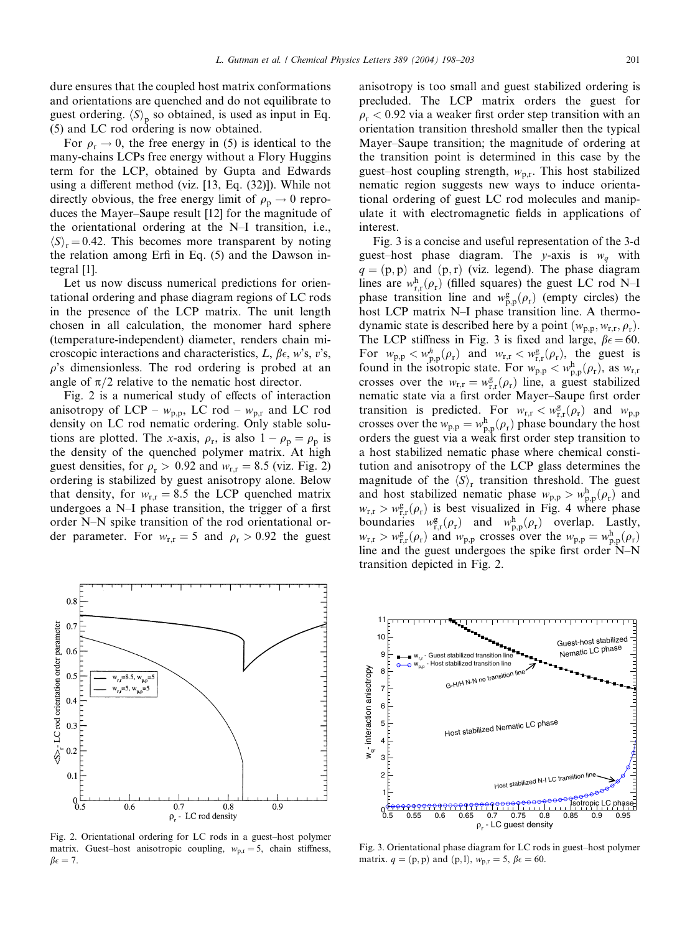For  $\rho_r \rightarrow 0$ , the free energy in (5) is identical to the many-chains LCPs free energy without a Flory Huggins term for the LCP, obtained by Gupta and Edwards using a different method (viz. [13, Eq. (32)]). While not directly obvious, the free energy limit of  $\rho_p \rightarrow 0$  reproduces the Mayer–Saupe result [12] for the magnitude of the orientational ordering at the N–I transition, i.e.,  $\langle S \rangle_r = 0.42$ . This becomes more transparent by noting the relation among Erfi in Eq. (5) and the Dawson integral [1].

Let us now discuss numerical predictions for orientational ordering and phase diagram regions of LC rods in the presence of the LCP matrix. The unit length chosen in all calculation, the monomer hard sphere (temperature-independent) diameter, renders chain microscopic interactions and characteristics, L,  $\beta \epsilon$ , w's, v's,  $\rho$ 's dimensionless. The rod ordering is probed at an angle of  $\pi/2$  relative to the nematic host director.

Fig. 2 is a numerical study of effects of interaction anisotropy of LCP –  $w_{p,p}$ , LC rod –  $w_{p,r}$  and LC rod density on LC rod nematic ordering. Only stable solutions are plotted. The x-axis,  $\rho_r$ , is also  $1 - \rho_p = \rho_p$  is the density of the quenched polymer matrix. At high guest densities, for  $\rho_r > 0.92$  and  $w_{r,r} = 8.5$  (viz. Fig. 2) ordering is stabilized by guest anisotropy alone. Below that density, for  $w_{r,r} = 8.5$  the LCP quenched matrix undergoes a N–I phase transition, the trigger of a first order N–N spike transition of the rod orientational order parameter. For  $w_{r,r} = 5$  and  $\rho_r > 0.92$  the guest

 $0.8$  $0.7$ S>- LC rod orientation order parameter  $0.6$  $0.5$  $w_{r,r} = 8.5$ ,  $w_{p,p} = 5$ an barrelan da barre  $w = 5$ . w  $0.4$  $0.3$  $0.2$  $0.1$  $^{0.5}_{0.5}$  $\overline{0.7}$  $\overline{0.8}$  $\overline{0.9}$  $06$ 

Fig. 2. Orientational ordering for LC rods in a guest–host polymer matrix. Guest–host anisotropic coupling,  $w_{\text{pr}} = 5$ , chain stiffness,  $\beta \epsilon = 7.$ 

anisotropy is too small and guest stabilized ordering is precluded. The LCP matrix orders the guest for  $\rho_r < 0.92$  via a weaker first order step transition with an orientation transition threshold smaller then the typical Mayer–Saupe transition; the magnitude of ordering at the transition point is determined in this case by the guest–host coupling strength,  $w_{p,r}$ . This host stabilized nematic region suggests new ways to induce orientational ordering of guest LC rod molecules and manipulate it with electromagnetic fields in applications of interest.

Fig. 3 is a concise and useful representation of the 3-d guest–host phase diagram. The y-axis is  $w_a$  with  $q = (p, p)$  and  $(p, r)$  (viz. legend). The phase diagram lines are  $w_{r,r}^{h}(\rho_r)$  (filled squares) the guest LC rod N–I phase transition line and  $w_{p,p}^g(\rho_r)$  (empty circles) the host LCP matrix N–I phase transition line. A thermodynamic state is described here by a point  $(w_{p,p}, w_{r,r}, \rho_r)$ . The LCP stiffness in Fig. 3 is fixed and large,  $\beta \epsilon = 60$ . For  $w_{p,p} < w_{p,p}^h(\rho_r)$  and  $w_{r,r} < w_{r,r}^g(\rho_r)$ , the guest is found in the isotropic state. For  $w_{p,p} < w_{p,p}^h(\rho_r)$ , as  $w_{r,r}$ crosses over the  $w_{r,r} = w_{r,r}^g(\rho_r)$  line, a guest stabilized nematic state via a first order Mayer–Saupe first order transition is predicted. For  $w_{r,r} < w_{r,r}^g(\rho_r)$  and  $w_{p,p}$ crosses over the  $w_{p,p} = w_{p,p}^h(\rho_r)$  phase boundary the host orders the guest via a weak first order step transition to a host stabilized nematic phase where chemical constitution and anisotropy of the LCP glass determines the magnitude of the  $\langle S \rangle$  transition threshold. The guest and host stabilized nematic phase  $w_{p,p} > w_{p,p}^{h}(\rho_r)$  and  $w_{r,r} > w_{r,r}^g(\rho_r)$  is best visualized in Fig. 4 where phase boundaries  $w_{\text{r},\text{r}}^{\text{g}}(\rho_{\text{r}})$  and  $w_{\text{p},\text{p}}^{\text{h}}(\rho_{\text{r}})$  overlap. Lastly,  $w_{r,r} > w_{r,r}^g(\rho_r)$  and  $w_{p,p}$  crosses over the  $w_{p,p} = w_{p,p}^h(\rho_r)$ line and the guest undergoes the spike first order  $N-N$ transition depicted in Fig. 2.

Guest-host stabilized Nematic LC phase 9 w<sub>r,r</sub> - Guest stabilized transition line<br>w<sub>p,p</sub> - Host stabilized transition line wq- interaction anisotropy  $w_{\alpha}$ - interaction anisotropy 8 G-H/H N-N no transition 7 6 Host stabilized Nematic LC phase 5 4 3 2 Host stabilized N-I LC tra 1 Isotropic L 0.<del>0<br>0.5</del> 0.55 0.6 0.65 0.7 0.75 0.8 0.85 0.9 0.95 ρ<sub>r</sub> - LC guest density

10 11

Fig. 3. Orientational phase diagram for LC rods in guest–host polymer matrix.  $q = (p, p)$  and  $(p, l)$ ,  $w_{p,r} = 5$ ,  $\beta \epsilon = 60$ .

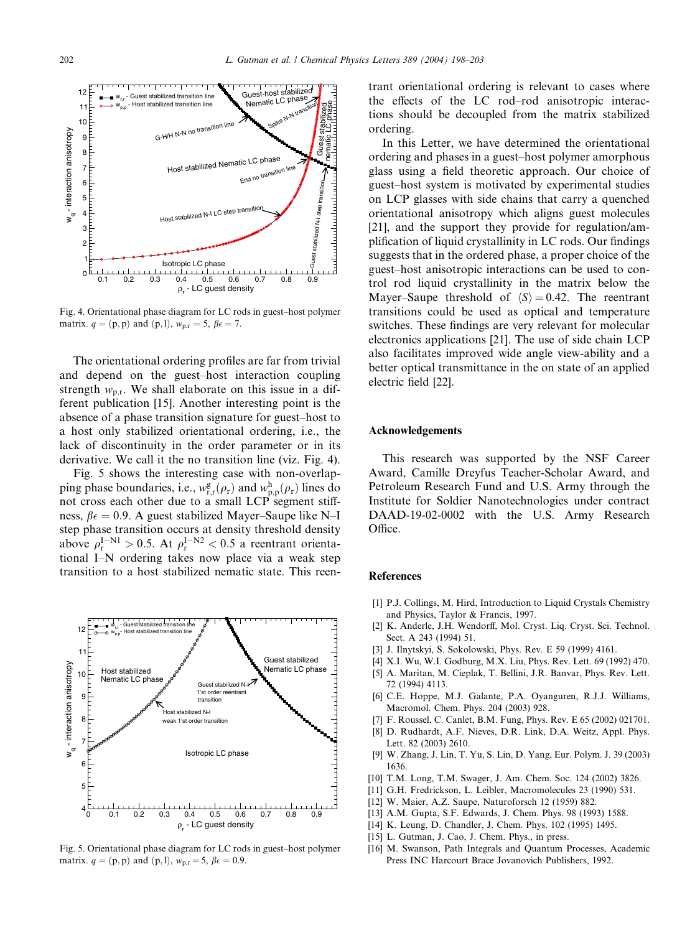

Fig. 4. Orientational phase diagram for LC rods in guest–host polymer matrix.  $q = (p, p)$  and  $(p, l)$ ,  $w_{p,r} = 5$ ,  $\beta \epsilon = 7$ .

The orientational ordering profiles are far from trivial and depend on the guest–host interaction coupling strength  $w_{\text{p.r.}}$  We shall elaborate on this issue in a different publication [15]. Another interesting point is the absence of a phase transition signature for guest–host to a host only stabilized orientational ordering, i.e., the lack of discontinuity in the order parameter or in its derivative. We call it the no transition line (viz. Fig. 4).

Fig. 5 shows the interesting case with non-overlapping phase boundaries, i.e.,  $w_{r,r}^g(\rho_r)$  and  $w_{p,p}^h(\rho_r)$  lines do not cross each other due to a small LCP segment stiffness,  $\beta \epsilon = 0.9$ . A guest stabilized Mayer–Saupe like N–I step phase transition occurs at density threshold density above  $\rho_r^{\rm I-N1} > 0.5$ . At  $\rho_r^{\rm I-N2} < 0.5$  a reentrant orientational I–N ordering takes now place via a weak step transition to a host stabilized nematic state. This reen-



Fig. 5. Orientational phase diagram for LC rods in guest–host polymer matrix.  $q = (p, p)$  and  $(p, l)$ ,  $w_{p,r} = 5$ ,  $\beta \epsilon = 0.9$ .

trant orientational ordering is relevant to cases where the effects of the LC rod–rod anisotropic interactions should be decoupled from the matrix stabilized ordering.

In this Letter, we have determined the orientational ordering and phases in a guest–host polymer amorphous glass using a field theoretic approach. Our choice of guest–host system is motivated by experimental studies on LCP glasses with side chains that carry a quenched orientational anisotropy which aligns guest molecules [21], and the support they provide for regulation/amplification of liquid crystallinity in LC rods. Our findings suggests that in the ordered phase, a proper choice of the guest–host anisotropic interactions can be used to control rod liquid crystallinity in the matrix below the Mayer–Saupe threshold of  $\langle S \rangle = 0.42$ . The reentrant transitions could be used as optical and temperature switches. These findings are very relevant for molecular electronics applications [21]. The use of side chain LCP also facilitates improved wide angle view-ability and a better optical transmittance in the on state of an applied electric field [22].

## Acknowledgements

This research was supported by the NSF Career Award, Camille Dreyfus Teacher-Scholar Award, and Petroleum Research Fund and U.S. Army through the Institute for Soldier Nanotechnologies under contract DAAD-19-02-0002 with the U.S. Army Research Office.

## References

- [1] P.J. Collings, M. Hird, Introduction to Liquid Crystals Chemistry and Physics, Taylor & Francis, 1997.
- [2] K. Anderle, J.H. Wendorff, Mol. Cryst. Liq. Cryst. Sci. Technol. Sect. A 243 (1994) 51.
- [3] J. Ilnytskyi, S. Sokolowski, Phys. Rev. E 59 (1999) 4161.
- [4] X.I. Wu, W.I. Godburg, M.X. Liu, Phys. Rev. Lett. 69 (1992) 470.
- [5] A. Maritan, M. Cieplak, T. Bellini, J.R. Banvar, Phys. Rev. Lett. 72 (1994) 4113.
- [6] C.E. Hoppe, M.J. Galante, P.A. Oyanguren, R.J.J. Williams, Macromol. Chem. Phys. 204 (2003) 928.
- [7] F. Roussel, C. Canlet, B.M. Fung, Phys. Rev. E 65 (2002) 021701.
- [8] D. Rudhardt, A.F. Nieves, D.R. Link, D.A. Weitz, Appl. Phys. Lett. 82 (2003) 2610.
- [9] W. Zhang, J. Lin, T. Yu, S. Lin, D. Yang, Eur. Polym. J. 39 (2003) 1636.
- [10] T.M. Long, T.M. Swager, J. Am. Chem. Soc. 124 (2002) 3826.
- [11] G.H. Fredrickson, L. Leibler, Macromolecules 23 (1990) 531.
- [12] W. Maier, A.Z. Saupe, Naturoforsch 12 (1959) 882.
- [13] A.M. Gupta, S.F. Edwards, J. Chem. Phys. 98 (1993) 1588.
- [14] K. Leung, D. Chandler, J. Chem. Phys. 102 (1995) 1495.
- [15] L. Gutman, J. Cao, J. Chem. Phys., in press.
- [16] M. Swanson, Path Integrals and Quantum Processes, Academic Press INC Harcourt Brace Jovanovich Publishers, 1992.